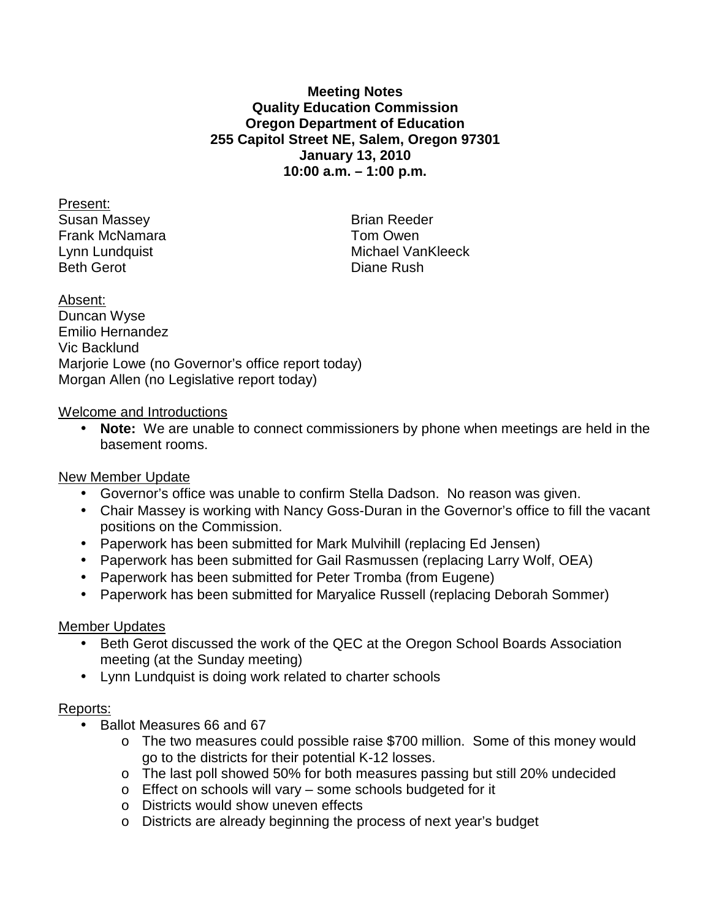## **Meeting Notes Quality Education Commission Oregon Department of Education 255 Capitol Street NE, Salem, Oregon 97301 January 13, 2010 10:00 a.m. – 1:00 p.m.**

Present: Susan Massey **Brian Reeder** Frank McNamara **Tom Owen** Beth Gerot **Diane Rush** 

Lynn Lundquist **Michael VanKleeck** 

Absent: Duncan Wyse Emilio Hernandez Vic Backlund Marjorie Lowe (no Governor's office report today) Morgan Allen (no Legislative report today)

## Welcome and Introductions

• **Note:** We are unable to connect commissioners by phone when meetings are held in the basement rooms.

# New Member Update

- Governor's office was unable to confirm Stella Dadson. No reason was given.
- Chair Massey is working with Nancy Goss-Duran in the Governor's office to fill the vacant positions on the Commission.
- Paperwork has been submitted for Mark Mulvihill (replacing Ed Jensen)
- Paperwork has been submitted for Gail Rasmussen (replacing Larry Wolf, OEA)
- Paperwork has been submitted for Peter Tromba (from Eugene)
- Paperwork has been submitted for Maryalice Russell (replacing Deborah Sommer)

# Member Updates

- Beth Gerot discussed the work of the QEC at the Oregon School Boards Association meeting (at the Sunday meeting)
- Lynn Lundquist is doing work related to charter schools

# Reports:

- Ballot Measures 66 and 67
	- o The two measures could possible raise \$700 million. Some of this money would go to the districts for their potential K-12 losses.
	- o The last poll showed 50% for both measures passing but still 20% undecided
	- o Effect on schools will vary some schools budgeted for it
	- o Districts would show uneven effects
	- o Districts are already beginning the process of next year's budget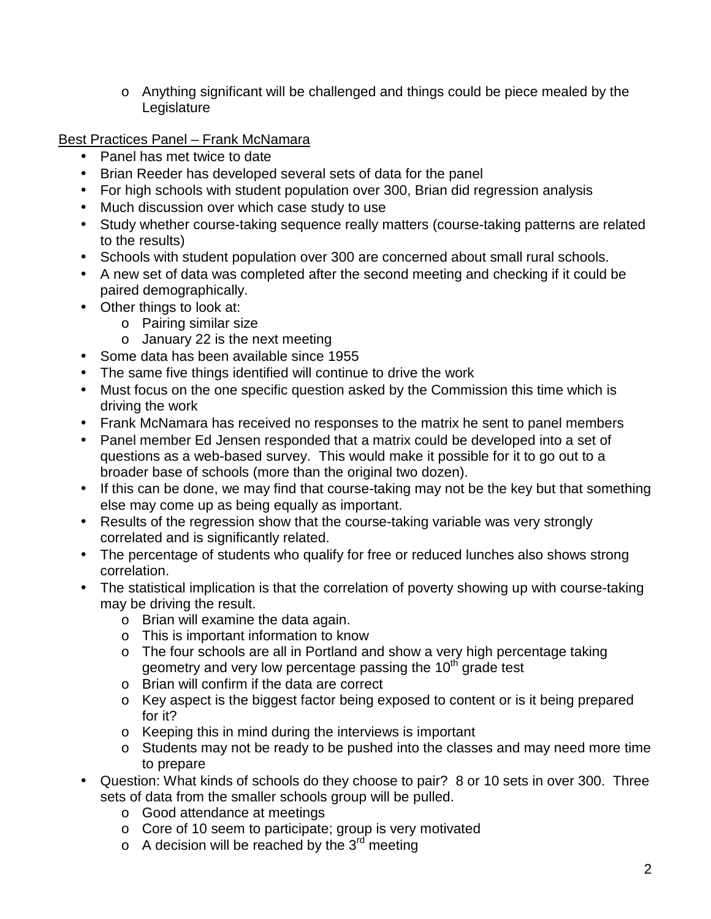o Anything significant will be challenged and things could be piece mealed by the Legislature

Best Practices Panel – Frank McNamara

- Panel has met twice to date
- Brian Reeder has developed several sets of data for the panel
- For high schools with student population over 300, Brian did regression analysis
- Much discussion over which case study to use
- Study whether course-taking sequence really matters (course-taking patterns are related to the results)
- Schools with student population over 300 are concerned about small rural schools.
- A new set of data was completed after the second meeting and checking if it could be paired demographically.
- Other things to look at:
	- o Pairing similar size
	- o January 22 is the next meeting
- Some data has been available since 1955
- The same five things identified will continue to drive the work
- Must focus on the one specific question asked by the Commission this time which is driving the work
- Frank McNamara has received no responses to the matrix he sent to panel members
- Panel member Ed Jensen responded that a matrix could be developed into a set of questions as a web-based survey. This would make it possible for it to go out to a broader base of schools (more than the original two dozen).
- If this can be done, we may find that course-taking may not be the key but that something else may come up as being equally as important.
- Results of the regression show that the course-taking variable was very strongly correlated and is significantly related.
- The percentage of students who qualify for free or reduced lunches also shows strong correlation.
- The statistical implication is that the correlation of poverty showing up with course-taking may be driving the result.
	- o Brian will examine the data again.
	- o This is important information to know
	- o The four schools are all in Portland and show a very high percentage taking geometry and very low percentage passing the  $10<sup>th</sup>$  grade test
	- o Brian will confirm if the data are correct
	- o Key aspect is the biggest factor being exposed to content or is it being prepared for it?
	- o Keeping this in mind during the interviews is important
	- o Students may not be ready to be pushed into the classes and may need more time to prepare
- Question: What kinds of schools do they choose to pair? 8 or 10 sets in over 300. Three sets of data from the smaller schools group will be pulled.
	- o Good attendance at meetings
	- o Core of 10 seem to participate; group is very motivated
	- $\circ$  A decision will be reached by the 3<sup>rd</sup> meeting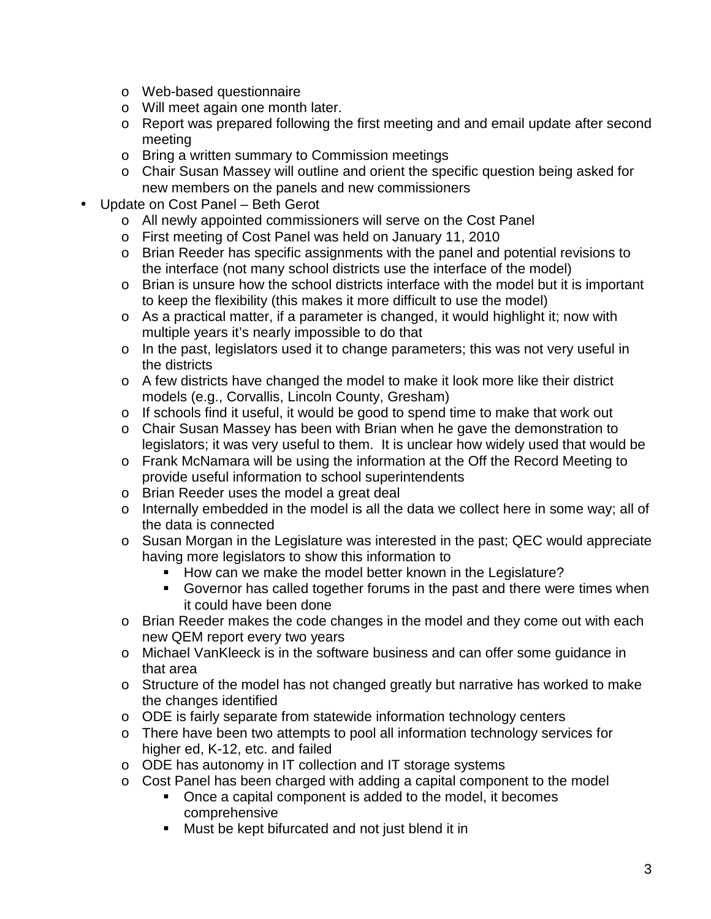- o Web-based questionnaire
- o Will meet again one month later.
- o Report was prepared following the first meeting and and email update after second meeting
- o Bring a written summary to Commission meetings
- o Chair Susan Massey will outline and orient the specific question being asked for new members on the panels and new commissioners
- Update on Cost Panel Beth Gerot
	- o All newly appointed commissioners will serve on the Cost Panel
	- o First meeting of Cost Panel was held on January 11, 2010
	- o Brian Reeder has specific assignments with the panel and potential revisions to the interface (not many school districts use the interface of the model)
	- $\circ$  Brian is unsure how the school districts interface with the model but it is important to keep the flexibility (this makes it more difficult to use the model)
	- o As a practical matter, if a parameter is changed, it would highlight it; now with multiple years it's nearly impossible to do that
	- o In the past, legislators used it to change parameters; this was not very useful in the districts
	- o A few districts have changed the model to make it look more like their district models (e.g., Corvallis, Lincoln County, Gresham)
	- o If schools find it useful, it would be good to spend time to make that work out
	- o Chair Susan Massey has been with Brian when he gave the demonstration to legislators; it was very useful to them. It is unclear how widely used that would be
	- o Frank McNamara will be using the information at the Off the Record Meeting to provide useful information to school superintendents
	- o Brian Reeder uses the model a great deal
	- o Internally embedded in the model is all the data we collect here in some way; all of the data is connected
	- o Susan Morgan in the Legislature was interested in the past; QEC would appreciate having more legislators to show this information to
		- How can we make the model better known in the Legislature?
		- Governor has called together forums in the past and there were times when it could have been done
	- o Brian Reeder makes the code changes in the model and they come out with each new QEM report every two years
	- o Michael VanKleeck is in the software business and can offer some guidance in that area
	- o Structure of the model has not changed greatly but narrative has worked to make the changes identified
	- $\circ$  ODE is fairly separate from statewide information technology centers
	- o There have been two attempts to pool all information technology services for higher ed, K-12, etc. and failed
	- o ODE has autonomy in IT collection and IT storage systems
	- o Cost Panel has been charged with adding a capital component to the model
		- Once a capital component is added to the model, it becomes comprehensive
		- **Must be kept bifurcated and not just blend it in**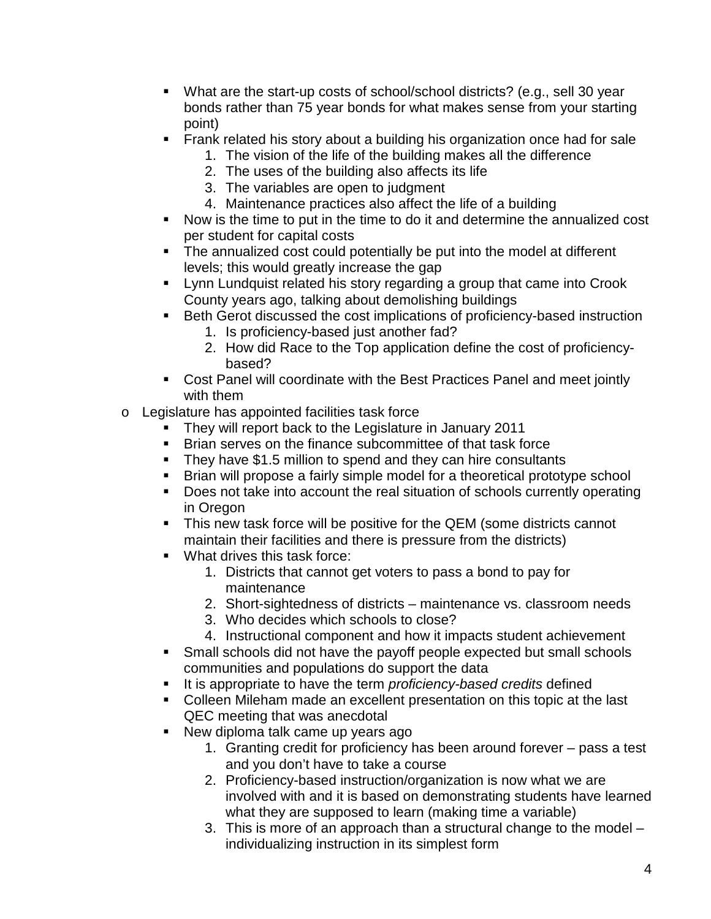- What are the start-up costs of school/school districts? (e.g., sell 30 year bonds rather than 75 year bonds for what makes sense from your starting point)
- **Frank related his story about a building his organization once had for sale** 
	- 1. The vision of the life of the building makes all the difference
	- 2. The uses of the building also affects its life
	- 3. The variables are open to judgment
	- 4. Maintenance practices also affect the life of a building
- Now is the time to put in the time to do it and determine the annualized cost per student for capital costs
- The annualized cost could potentially be put into the model at different levels; this would greatly increase the gap
- **EXTER** Lynn Lundquist related his story regarding a group that came into Crook County years ago, talking about demolishing buildings
- Beth Gerot discussed the cost implications of proficiency-based instruction
	- 1. Is proficiency-based just another fad?
	- 2. How did Race to the Top application define the cost of proficiencybased?
- Cost Panel will coordinate with the Best Practices Panel and meet jointly with them
- o Legislature has appointed facilities task force
	- **They will report back to the Legislature in January 2011**
	- **Brian serves on the finance subcommittee of that task force**
	- They have \$1.5 million to spend and they can hire consultants
	- **Brian will propose a fairly simple model for a theoretical prototype school**
	- Does not take into account the real situation of schools currently operating in Oregon
	- This new task force will be positive for the QEM (some districts cannot maintain their facilities and there is pressure from the districts)
	- **What drives this task force:** 
		- 1. Districts that cannot get voters to pass a bond to pay for maintenance
		- 2. Short-sightedness of districts maintenance vs. classroom needs
		- 3. Who decides which schools to close?
		- 4. Instructional component and how it impacts student achievement
	- **Small schools did not have the payoff people expected but small schools** communities and populations do support the data
	- It is appropriate to have the term *proficiency-based credits* defined
	- Colleen Mileham made an excellent presentation on this topic at the last QEC meeting that was anecdotal
	- New diploma talk came up years ago
		- 1. Granting credit for proficiency has been around forever pass a test and you don't have to take a course
		- 2. Proficiency-based instruction/organization is now what we are involved with and it is based on demonstrating students have learned what they are supposed to learn (making time a variable)
		- 3. This is more of an approach than a structural change to the model individualizing instruction in its simplest form